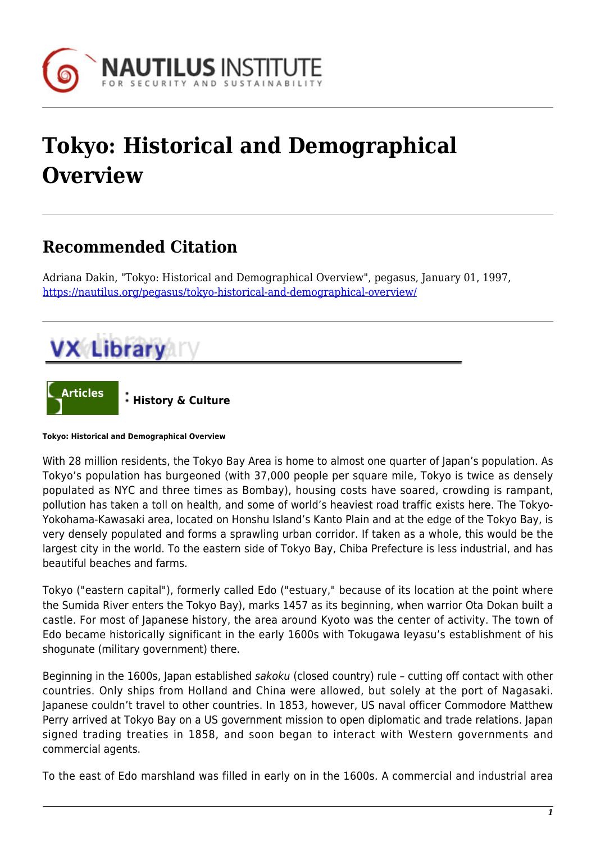

## **Tokyo: Historical and Demographical Overview**

## **Recommended Citation**

Adriana Dakin, "Tokyo: Historical and Demographical Overview", pegasus, January 01, 1997, <https://nautilus.org/pegasus/tokyo-historical-and-demographical-overview/>





**Tokyo: Historical and Demographical Overview**

With 28 million residents, the Tokyo Bay Area is home to almost one quarter of Japan's population. As Tokyo's population has burgeoned (with 37,000 people per square mile, Tokyo is twice as densely populated as NYC and three times as Bombay), housing costs have soared, crowding is rampant, pollution has taken a toll on health, and some of world's heaviest road traffic exists here. The Tokyo-Yokohama-Kawasaki area, located on Honshu Island's Kanto Plain and at the edge of the Tokyo Bay, is very densely populated and forms a sprawling urban corridor. If taken as a whole, this would be the largest city in the world. To the eastern side of Tokyo Bay, Chiba Prefecture is less industrial, and has beautiful beaches and farms.

Tokyo ("eastern capital"), formerly called Edo ("estuary," because of its location at the point where the Sumida River enters the Tokyo Bay), marks 1457 as its beginning, when warrior Ota Dokan built a castle. For most of Japanese history, the area around Kyoto was the center of activity. The town of Edo became historically significant in the early 1600s with Tokugawa Ieyasu's establishment of his shogunate (military government) there.

Beginning in the 1600s, Japan established sakoku (closed country) rule – cutting off contact with other countries. Only ships from Holland and China were allowed, but solely at the port of Nagasaki. Japanese couldn't travel to other countries. In 1853, however, US naval officer Commodore Matthew Perry arrived at Tokyo Bay on a US government mission to open diplomatic and trade relations. Japan signed trading treaties in 1858, and soon began to interact with Western governments and commercial agents.

To the east of Edo marshland was filled in early on in the 1600s. A commercial and industrial area